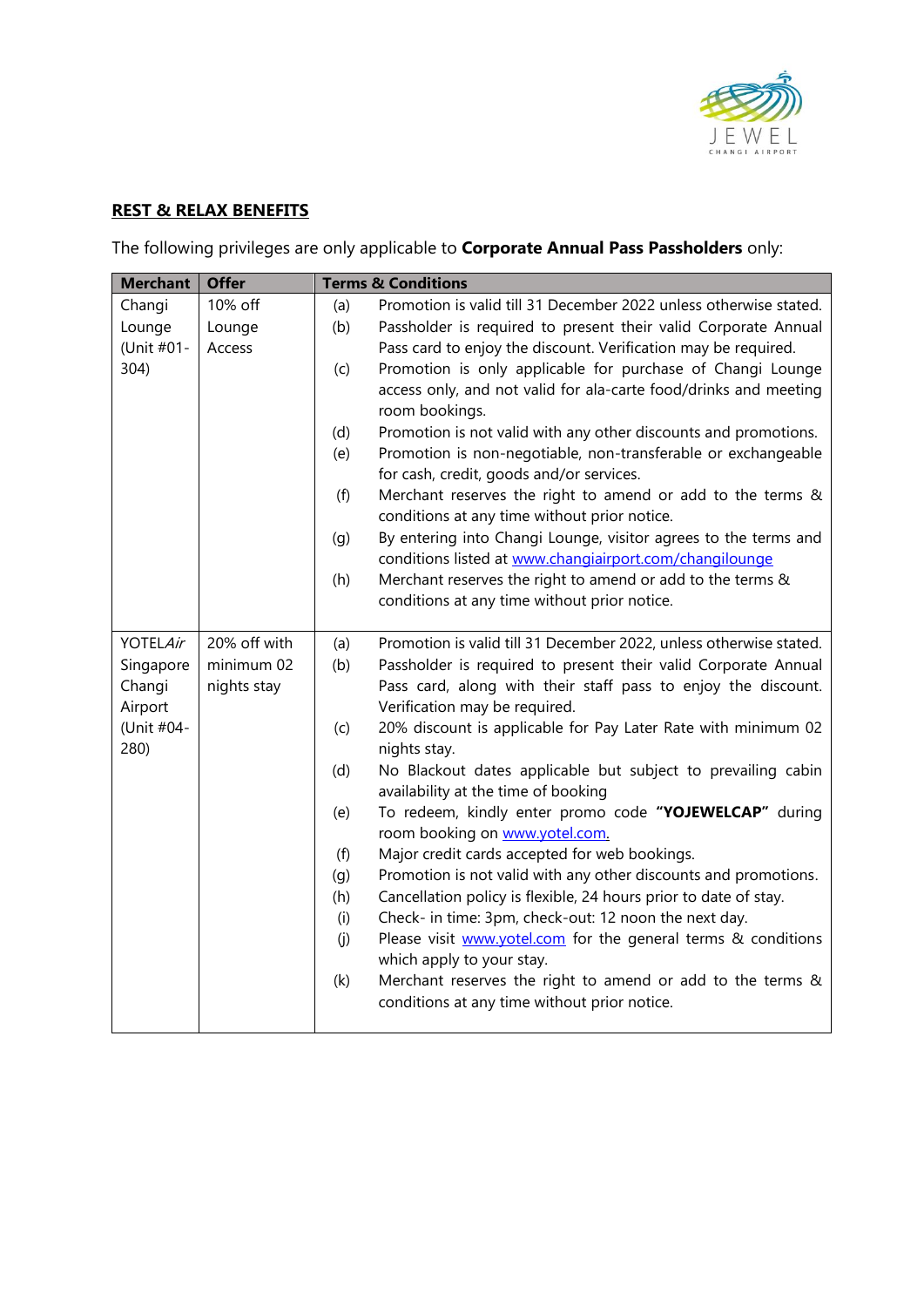

## **REST & RELAX BENEFITS**

The following privileges are only applicable to **Corporate Annual Pass Passholders** only:

| <b>Merchant</b> | <b>Offer</b> |            | <b>Terms &amp; Conditions</b>                                                                                                        |
|-----------------|--------------|------------|--------------------------------------------------------------------------------------------------------------------------------------|
| Changi          | 10% off      | (a)        | Promotion is valid till 31 December 2022 unless otherwise stated.                                                                    |
| Lounge          | Lounge       | (b)        | Passholder is required to present their valid Corporate Annual                                                                       |
| (Unit #01-      | Access       |            | Pass card to enjoy the discount. Verification may be required.                                                                       |
| 304)            |              | (c)        | Promotion is only applicable for purchase of Changi Lounge                                                                           |
|                 |              |            | access only, and not valid for ala-carte food/drinks and meeting                                                                     |
|                 |              |            | room bookings.                                                                                                                       |
|                 |              | (d)        | Promotion is not valid with any other discounts and promotions.                                                                      |
|                 |              | (e)        | Promotion is non-negotiable, non-transferable or exchangeable                                                                        |
|                 |              |            | for cash, credit, goods and/or services.                                                                                             |
|                 |              | (f)        | Merchant reserves the right to amend or add to the terms &                                                                           |
|                 |              |            | conditions at any time without prior notice.                                                                                         |
|                 |              | (g)        | By entering into Changi Lounge, visitor agrees to the terms and                                                                      |
|                 |              |            | conditions listed at www.changiairport.com/changilounge                                                                              |
|                 |              | (h)        | Merchant reserves the right to amend or add to the terms &                                                                           |
|                 |              |            | conditions at any time without prior notice.                                                                                         |
| <b>YOTELAir</b> | 20% off with |            |                                                                                                                                      |
| Singapore       | minimum 02   | (a)<br>(b) | Promotion is valid till 31 December 2022, unless otherwise stated.<br>Passholder is required to present their valid Corporate Annual |
| Changi          | nights stay  |            | Pass card, along with their staff pass to enjoy the discount.                                                                        |
| Airport         |              |            | Verification may be required.                                                                                                        |
| (Unit #04-      |              | (c)        | 20% discount is applicable for Pay Later Rate with minimum 02                                                                        |
| 280)            |              |            | nights stay.                                                                                                                         |
|                 |              | (d)        | No Blackout dates applicable but subject to prevailing cabin                                                                         |
|                 |              |            | availability at the time of booking                                                                                                  |
|                 |              | (e)        | To redeem, kindly enter promo code "YOJEWELCAP" during                                                                               |
|                 |              |            | room booking on www.yotel.com.                                                                                                       |
|                 |              | (f)        | Major credit cards accepted for web bookings.                                                                                        |
|                 |              | (g)        | Promotion is not valid with any other discounts and promotions.                                                                      |
|                 |              | (h)        | Cancellation policy is flexible, 24 hours prior to date of stay.                                                                     |
|                 |              | (i)        | Check- in time: 3pm, check-out: 12 noon the next day.                                                                                |
|                 |              | (j)        | Please visit www.yotel.com for the general terms & conditions                                                                        |
|                 |              |            | which apply to your stay.                                                                                                            |
|                 |              | (k)        | Merchant reserves the right to amend or add to the terms &                                                                           |
|                 |              |            | conditions at any time without prior notice.                                                                                         |
|                 |              |            |                                                                                                                                      |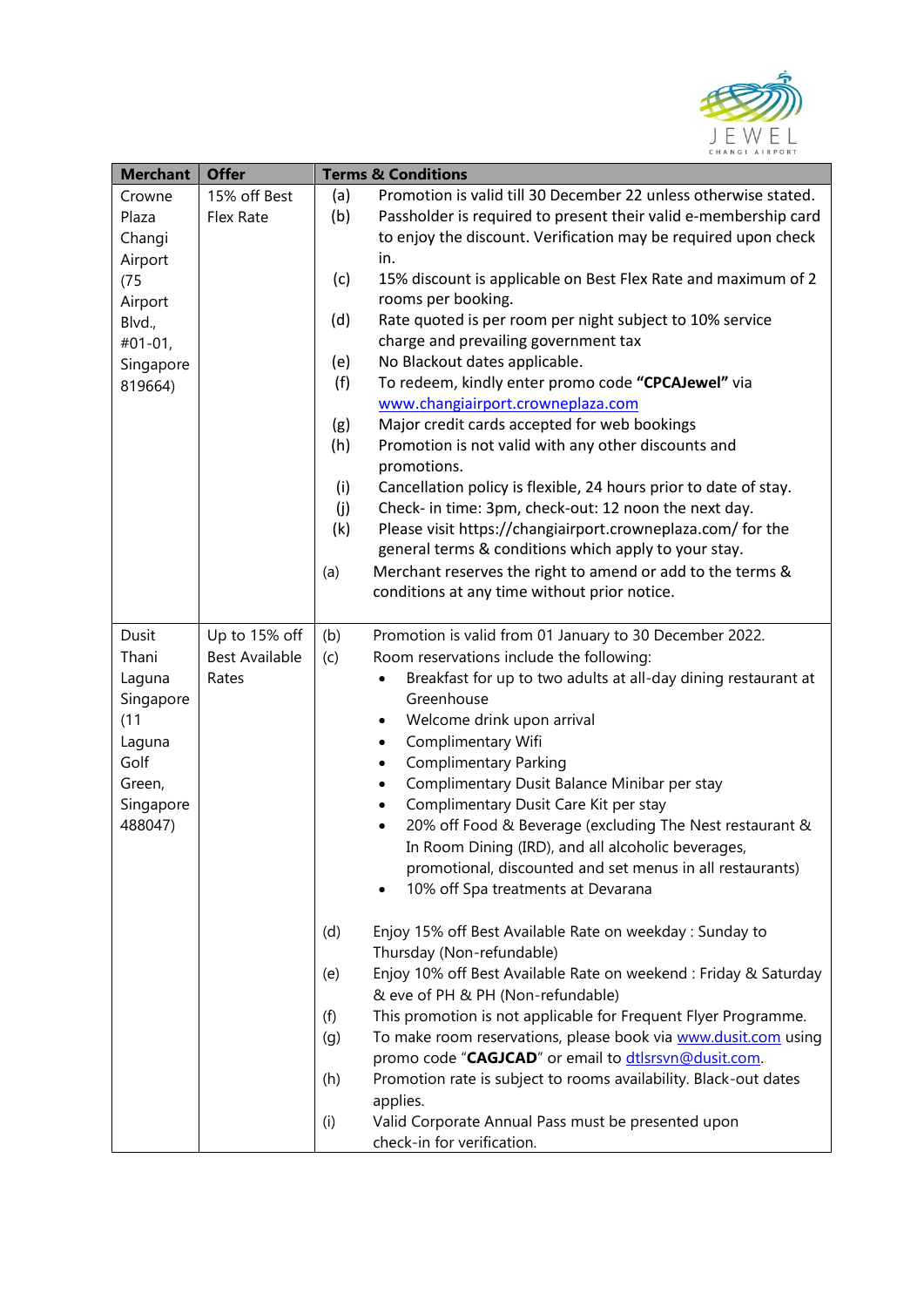

| <b>Merchant</b> | <b>Offer</b>          | <b>Terms &amp; Conditions</b> |                                                                             |
|-----------------|-----------------------|-------------------------------|-----------------------------------------------------------------------------|
| Crowne          | 15% off Best          | (a)                           | Promotion is valid till 30 December 22 unless otherwise stated.             |
| Plaza           | Flex Rate             | (b)                           | Passholder is required to present their valid e-membership card             |
| Changi          |                       |                               | to enjoy the discount. Verification may be required upon check              |
| Airport         |                       |                               | in.                                                                         |
| (75)            |                       | (c)                           | 15% discount is applicable on Best Flex Rate and maximum of 2               |
| Airport         |                       |                               | rooms per booking.                                                          |
| Blvd.,          |                       | (d)                           | Rate quoted is per room per night subject to 10% service                    |
| $#01-01,$       |                       |                               | charge and prevailing government tax                                        |
| Singapore       |                       | (e)                           | No Blackout dates applicable.                                               |
| 819664)         |                       | (f)                           | To redeem, kindly enter promo code "CPCAJewel" via                          |
|                 |                       |                               | www.changiairport.crowneplaza.com                                           |
|                 |                       | (g)                           | Major credit cards accepted for web bookings                                |
|                 |                       | (h)                           | Promotion is not valid with any other discounts and                         |
|                 |                       |                               | promotions.                                                                 |
|                 |                       | (i)                           | Cancellation policy is flexible, 24 hours prior to date of stay.            |
|                 |                       | (j)                           | Check- in time: 3pm, check-out: 12 noon the next day.                       |
|                 |                       | (k)                           | Please visit https://changiairport.crowneplaza.com/ for the                 |
|                 |                       |                               | general terms & conditions which apply to your stay.                        |
|                 |                       | (a)                           | Merchant reserves the right to amend or add to the terms &                  |
|                 |                       |                               | conditions at any time without prior notice.                                |
|                 |                       |                               |                                                                             |
| Dusit           | Up to 15% off         | (b)                           | Promotion is valid from 01 January to 30 December 2022.                     |
| Thani           | <b>Best Available</b> | (c)                           | Room reservations include the following:                                    |
| Laguna          | Rates                 |                               | Breakfast for up to two adults at all-day dining restaurant at<br>$\bullet$ |
| Singapore       |                       |                               | Greenhouse                                                                  |
| (11)            |                       |                               | Welcome drink upon arrival<br>$\bullet$                                     |
| Laguna          |                       |                               | Complimentary Wifi<br>$\bullet$                                             |
| Golf            |                       |                               | <b>Complimentary Parking</b><br>$\bullet$                                   |
| Green,          |                       |                               | Complimentary Dusit Balance Minibar per stay<br>$\bullet$                   |
| Singapore       |                       |                               | Complimentary Dusit Care Kit per stay<br>$\bullet$                          |
| 488047)         |                       |                               | 20% off Food & Beverage (excluding The Nest restaurant &<br>$\bullet$       |
|                 |                       |                               | In Room Dining (IRD), and all alcoholic beverages,                          |
|                 |                       |                               | promotional, discounted and set menus in all restaurants)                   |
|                 |                       |                               | 10% off Spa treatments at Devarana                                          |
|                 |                       |                               |                                                                             |
|                 |                       | (d)                           | Enjoy 15% off Best Available Rate on weekday : Sunday to                    |
|                 |                       |                               | Thursday (Non-refundable)                                                   |
|                 |                       | (e)                           | Enjoy 10% off Best Available Rate on weekend : Friday & Saturday            |
|                 |                       |                               | & eve of PH & PH (Non-refundable)                                           |
|                 |                       | (f)                           | This promotion is not applicable for Frequent Flyer Programme.              |
|                 |                       | (g)                           | To make room reservations, please book via www.dusit.com using              |
|                 |                       |                               | promo code "CAGJCAD" or email to dtlsrsvn@dusit.com.                        |
|                 |                       | (h)                           | Promotion rate is subject to rooms availability. Black-out dates            |
|                 |                       |                               | applies.                                                                    |
|                 |                       | (i)                           | Valid Corporate Annual Pass must be presented upon                          |
|                 |                       |                               | check-in for verification.                                                  |